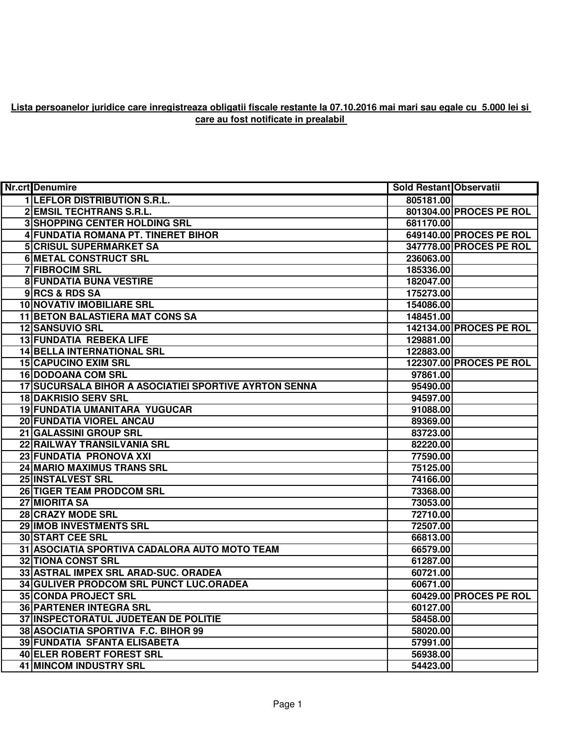## **Lista persoanelor juridice care inregistreaza obligatii fiscale restante la 07.10.2016 mai mari sau egale cu 5.000 lei si care au fost notificate in prealabil**

| <b>Nr.crt</b> Denumire                                | <b>Sold Restant Observatii</b> |                         |
|-------------------------------------------------------|--------------------------------|-------------------------|
| <b>1 LEFLOR DISTRIBUTION S.R.L.</b>                   | 805181.00                      |                         |
| 2 EMSIL TECHTRANS S.R.L.                              |                                | 801304.00 PROCES PE ROL |
| 3 SHOPPING CENTER HOLDING SRL                         | 681170.00                      |                         |
| 4 FUNDATIA ROMANA PT. TINERET BIHOR                   |                                | 649140.00 PROCES PE ROL |
| <b>5 CRISUL SUPERMARKET SA</b>                        |                                | 347778.00 PROCES PE ROL |
| <b>6 METAL CONSTRUCT SRL</b>                          | 236063.00                      |                         |
| <b>7 FIBROCIM SRL</b>                                 | 185336.00                      |                         |
| <b>8 FUNDATIA BUNA VESTIRE</b>                        | 182047.00                      |                         |
| 9RCS & RDS SA                                         | 175273.00                      |                         |
| <b>10 NOVATIV IMOBILIARE SRL</b>                      | 154086.00                      |                         |
| <b>11 BETON BALASTIERA MAT CONS SA</b>                | 148451.00                      |                         |
| 12 SANSUVIO SRL                                       |                                | 142134.00 PROCES PE ROL |
| 13 FUNDATIA REBEKA LIFE                               | 129881.00                      |                         |
| <b>14 BELLA INTERNATIONAL SRL</b>                     | 122883.00                      |                         |
| <b>15 CAPUCINO EXIM SRL</b>                           |                                | 122307.00 PROCES PE ROL |
| <b>16 DODOANA COM SRL</b>                             | 97861.00                       |                         |
| 17 SUCURSALA BIHOR A ASOCIATIEI SPORTIVE AYRTON SENNA | 95490.00                       |                         |
| <b>18 DAKRISIO SERV SRL</b>                           | 94597.00                       |                         |
| 19 FUNDATIA UMANITARA YUGUCAR                         | 91088.00                       |                         |
| 20 FUNDATIA VIOREL ANCAU                              | 89369.00                       |                         |
| 21 GALASSINI GROUP SRL                                | 83723.00                       |                         |
| 22 RAILWAY TRANSILVANIA SRL                           | 82220.00                       |                         |
| 23 FUNDATIA PRONOVA XXI                               | 77590.00                       |                         |
| 24 MARIO MAXIMUS TRANS SRL                            | 75125.00                       |                         |
| 25 INSTALVEST SRL                                     | 74166.00                       |                         |
| 26 TIGER TEAM PRODCOM SRL                             | 73368.00                       |                         |
| 27 MIORITA SA                                         | 73053.00                       |                         |
| 28 CRAZY MODE SRL                                     | 72710.00                       |                         |
| 29 IMOB INVESTMENTS SRL                               | 72507.00                       |                         |
| <b>30 START CEE SRL</b>                               | 66813.00                       |                         |
| 31 ASOCIATIA SPORTIVA CADALORA AUTO MOTO TEAM         | 66579.00                       |                         |
| <b>32 TIONA CONST SRL</b>                             | 61287.00                       |                         |
| 33 ASTRAL IMPEX SRL ARAD-SUC. ORADEA                  | 60721.00                       |                         |
| 34 GULIVER PRODCOM SRL PUNCT LUC.ORADEA               | 60671.00                       |                         |
| <b>35 CONDA PROJECT SRL</b>                           |                                | 60429.00 PROCES PE ROL  |
| <b>36 PARTENER INTEGRA SRL</b>                        | 60127.00                       |                         |
| 37 INSPECTORATUL JUDETEAN DE POLITIE                  | 58458.00                       |                         |
| 38 ASOCIATIA SPORTIVA F.C. BIHOR 99                   | 58020.00                       |                         |
| 39 FUNDATIA SFANTA ELISABETA                          | 57991.00                       |                         |
| <b>40 ELER ROBERT FOREST SRL</b>                      | 56938.00                       |                         |
| <b>41 MINCOM INDUSTRY SRL</b>                         | 54423.00                       |                         |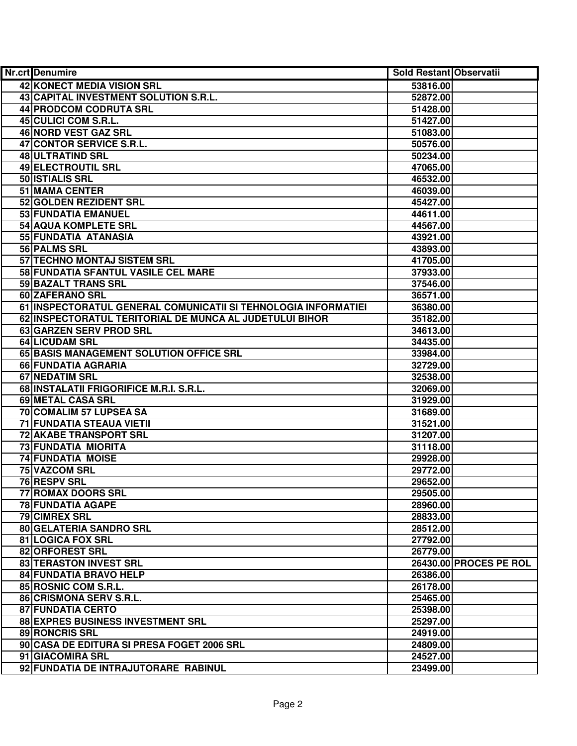| <b>Nr.crt</b> Denumire                                         | Sold Restant Observatii |                        |
|----------------------------------------------------------------|-------------------------|------------------------|
| 42 KONECT MEDIA VISION SRL                                     | 53816.00                |                        |
| 43 CAPITAL INVESTMENT SOLUTION S.R.L.                          | 52872.00                |                        |
| 44 PRODCOM CODRUTA SRL                                         | 51428.00                |                        |
| 45 CULICI COM S.R.L.                                           | 51427.00                |                        |
| 46 NORD VEST GAZ SRL                                           | 51083.00                |                        |
| 47 CONTOR SERVICE S.R.L.                                       | 50576.00                |                        |
| 48 ULTRATIND SRL                                               | 50234.00                |                        |
| <b>49 ELECTROUTIL SRL</b>                                      | 47065.00                |                        |
| 50 ISTIALIS SRL                                                | 46532.00                |                        |
| <b>51 MAMA CENTER</b>                                          | 46039.00                |                        |
| 52 GOLDEN REZIDENT SRL                                         | 45427.00                |                        |
| 53 FUNDATIA EMANUEL                                            | 44611.00                |                        |
| <b>54 AQUA KOMPLETE SRL</b>                                    | 44567.00                |                        |
| 55 FUNDATIA ATANASIA                                           | 43921.00                |                        |
| 56 PALMS SRL                                                   | 43893.00                |                        |
| 57 TECHNO MONTAJ SISTEM SRL                                    | 41705.00                |                        |
| 58 FUNDATIA SFANTUL VASILE CEL MARE                            | 37933.00                |                        |
| 59 BAZALT TRANS SRL                                            | 37546.00                |                        |
| 60 ZAFERANO SRL                                                | 36571.00                |                        |
| 61 INSPECTORATUL GENERAL COMUNICATII SI TEHNOLOGIA INFORMATIEI | 36380.00                |                        |
| 62 INSPECTORATUL TERITORIAL DE MUNCA AL JUDETULUI BIHOR        | 35182.00                |                        |
| 63 GARZEN SERV PROD SRL                                        | 34613.00                |                        |
| 64 LICUDAM SRL                                                 | 34435.00                |                        |
| 65 BASIS MANAGEMENT SOLUTION OFFICE SRL                        | 33984.00                |                        |
| 66 FUNDATIA AGRARIA                                            | 32729.00                |                        |
| 67 NEDATIM SRL                                                 | 32538.00                |                        |
| 68 INSTALATII FRIGORIFICE M.R.I. S.R.L.                        | 32069.00                |                        |
| 69 METAL CASA SRL                                              | 31929.00                |                        |
| 70 COMALIM 57 LUPSEA SA                                        | 31689.00                |                        |
| 71 FUNDATIA STEAUA VIETII                                      | 31521.00                |                        |
| 72 AKABE TRANSPORT SRL                                         | 31207.00                |                        |
| 73 FUNDATIA MIORITA                                            | 31118.00                |                        |
| <b>74 FUNDATIA MOISE</b>                                       | 29928.00                |                        |
| <b>75 VAZCOM SRL</b>                                           | 29772.00                |                        |
| 76 RESPV SRL                                                   | 29652.00                |                        |
| <b>77 ROMAX DOORS SRL</b>                                      | 29505.00                |                        |
| <b>78 FUNDATIA AGAPE</b>                                       | 28960.00                |                        |
| <b>79 CIMREX SRL</b>                                           | 28833.00                |                        |
| <b>80 GELATERIA SANDRO SRL</b>                                 | 28512.00                |                        |
| 81 LOGICA FOX SRL                                              | 27792.00                |                        |
| 82 ORFOREST SRL                                                | 26779.00                |                        |
| 83 TERASTON INVEST SRL                                         |                         | 26430.00 PROCES PE ROL |
| 84 FUNDATIA BRAVO HELP                                         | 26386.00                |                        |
| 85 ROSNIC COM S.R.L.                                           | 26178.00                |                        |
| 86 CRISMONA SERV S.R.L.                                        | 25465.00                |                        |
| 87 FUNDATIA CERTO                                              | 25398.00                |                        |
| 88 EXPRES BUSINESS INVESTMENT SRL                              | 25297.00                |                        |
| 89 RONCRIS SRL                                                 | 24919.00                |                        |
| 90 CASA DE EDITURA SI PRESA FOGET 2006 SRL                     | 24809.00                |                        |
| 91 GIACOMIRA SRL                                               | 24527.00                |                        |
| 92 FUNDATIA DE INTRAJUTORARE RABINUL                           | 23499.00                |                        |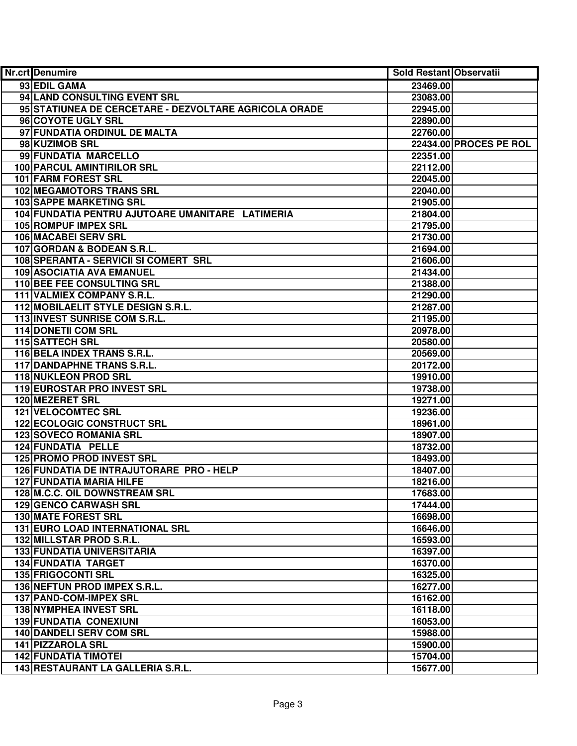| Nr.crt Denumire                                       | Sold Restant Observatii |
|-------------------------------------------------------|-------------------------|
| 93 EDIL GAMA                                          | 23469.00                |
| 94 LAND CONSULTING EVENT SRL                          | 23083.00                |
| 95 STATIUNEA DE CERCETARE - DEZVOLTARE AGRICOLA ORADE | 22945.00                |
| 96 COYOTE UGLY SRL                                    | 22890.00                |
| 97 FUNDATIA ORDINUL DE MALTA                          | 22760.00                |
| 98 KUZIMOB SRL                                        | 22434.00 PROCES PE ROL  |
| 99 FUNDATIA MARCELLO                                  | 22351.00                |
| <b>100 PARCUL AMINTIRILOR SRL</b>                     | 22112.00                |
| <b>101 FARM FOREST SRL</b>                            | 22045.00                |
| <b>102 MEGAMOTORS TRANS SRL</b>                       | 22040.00                |
| <b>103 SAPPE MARKETING SRL</b>                        | 21905.00                |
| 104 FUNDATIA PENTRU AJUTOARE UMANITARE LATIMERIA      | 21804.00                |
| <b>105 ROMPUF IMPEX SRL</b>                           | 21795.00                |
| <b>106 MACABEI SERV SRL</b>                           | 21730.00                |
| 107 GORDAN & BODEAN S.R.L.                            | 21694.00                |
| 108 SPERANTA - SERVICII SI COMERT SRL                 | 21606.00                |
| 109 ASOCIATIA AVA EMANUEL                             | 21434.00                |
| 110 BEE FEE CONSULTING SRL                            | 21388.00                |
| 111 VALMIEX COMPANY S.R.L.                            | 21290.00                |
| 112 MOBILAELIT STYLE DESIGN S.R.L.                    | 21287.00                |
| 113 INVEST SUNRISE COM S.R.L.                         | 21195.00                |
| <b>114 DONETII COM SRL</b>                            | 20978.00                |
| 115 SATTECH SRL                                       | 20580.00                |
| 116 BELA INDEX TRANS S.R.L.                           | 20569.00                |
| 117 DANDAPHNE TRANS S.R.L.                            | 20172.00                |
| <b>118 NUKLEON PROD SRL</b>                           | 19910.00                |
| 119 EUROSTAR PRO INVEST SRL                           | 19738.00                |
| <b>120 MEZERET SRL</b>                                | 19271.00                |
| 121 VELOCOMTEC SRL                                    | 19236.00                |
| 122 ECOLOGIC CONSTRUCT SRL                            | 18961.00                |
| 123 SOVECO ROMANIA SRL                                | 18907.00                |
| 124 FUNDATIA PELLE                                    | 18732.00                |
| 125 PROMO PROD INVEST SRL                             | 18493.00                |
| 126 FUNDATIA DE INTRAJUTORARE PRO - HELP              | 18407.00                |
| <b>127 FUNDATIA MARIA HILFE</b>                       | 18216.00                |
| 128 M.C.C. OIL DOWNSTREAM SRL                         | 17683.00                |
| <b>129 GENCO CARWASH SRL</b>                          | 17444.00                |
| <b>130 MATE FOREST SRL</b>                            | 16698.00                |
| <b>131 EURO LOAD INTERNATIONAL SRL</b>                | 16646.00                |
| 132 MILLSTAR PROD S.R.L.                              | 16593.00                |
| <b>133 FUNDATIA UNIVERSITARIA</b>                     | 16397.00                |
| <b>134 FUNDATIA TARGET</b>                            | 16370.00                |
| <b>135 FRIGOCONTI SRL</b>                             | 16325.00                |
| 136 NEFTUN PROD IMPEX S.R.L.                          | 16277.00                |
| 137 PAND-COM-IMPEX SRL                                | 16162.00                |
| 138 NYMPHEA INVEST SRL                                | 16118.00                |
| <b>139 FUNDATIA CONEXIUNI</b>                         | 16053.00                |
| 140 DANDELI SERV COM SRL                              | 15988.00                |
| 141 PIZZAROLA SRL                                     | 15900.00                |
| <b>142 FUNDATIA TIMOTEI</b>                           | 15704.00                |
| 143 RESTAURANT LA GALLERIA S.R.L.                     | 15677.00                |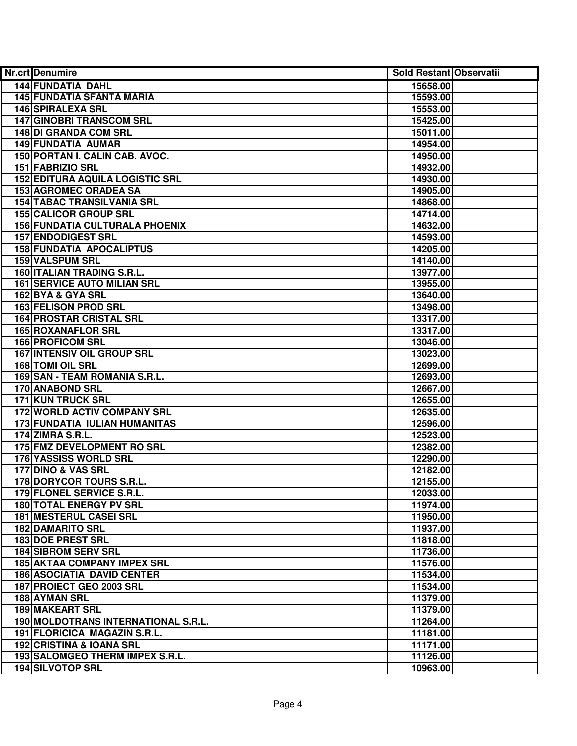| <b>Nr.crt</b> Denumire                 | Sold Restant Observatii |  |
|----------------------------------------|-------------------------|--|
| <b>144 FUNDATIA DAHL</b>               | 15658.00                |  |
| <b>145 FUNDATIA SFANTA MARIA</b>       | 15593.00                |  |
| <b>146 SPIRALEXA SRL</b>               | 15553.00                |  |
| <b>147 GINOBRI TRANSCOM SRL</b>        | 15425.00                |  |
| 148 DI GRANDA COM SRL                  | 15011.00                |  |
| <b>149 FUNDATIA AUMAR</b>              | 14954.00                |  |
| 150 PORTAN I. CALIN CAB. AVOC.         | 14950.00                |  |
| <b>151 FABRIZIO SRL</b>                | 14932.00                |  |
| <b>152 EDITURA AQUILA LOGISTIC SRL</b> | 14930.00                |  |
| <b>153 AGROMEC ORADEA SA</b>           | 14905.00                |  |
| <b>154 TABAC TRANSILVANIA SRL</b>      | 14868.00                |  |
| <b>155 CALICOR GROUP SRL</b>           | 14714.00                |  |
| <b>156 FUNDATIA CULTURALA PHOENIX</b>  | 14632.00                |  |
| <b>157 ENDODIGEST SRL</b>              | 14593.00                |  |
| <b>158 FUNDATIA APOCALIPTUS</b>        | 14205.00                |  |
| 159 VALSPUM SRL                        | 14140.00                |  |
| <b>160 ITALIAN TRADING S.R.L.</b>      | 13977.00                |  |
| <b>161 SERVICE AUTO MILIAN SRL</b>     | 13955.00                |  |
| 162 BYA & GYA SRL                      | 13640.00                |  |
| <b>163 FELISON PROD SRL</b>            | 13498.00                |  |
| <b>164 PROSTAR CRISTAL SRL</b>         | 13317.00                |  |
| <b>165 ROXANAFLOR SRL</b>              | 13317.00                |  |
| <b>166 PROFICOM SRL</b>                | 13046.00                |  |
| 167 INTENSIV OIL GROUP SRL             | 13023.00                |  |
| <b>168 TOMI OIL SRL</b>                | 12699.00                |  |
| 169 SAN - TEAM ROMANIA S.R.L.          | 12693.00                |  |
| <b>170 ANABOND SRL</b>                 | 12667.00                |  |
| <b>171 KUN TRUCK SRL</b>               | 12655.00                |  |
| 172 WORLD ACTIV COMPANY SRL            | 12635.00                |  |
| 173 FUNDATIA IULIAN HUMANITAS          | 12596.00                |  |
| <b>174 ZIMRA S.R.L.</b>                | 12523.00                |  |
| 175 FMZ DEVELOPMENT RO SRL             | 12382.00                |  |
| 176 YASSISS WORLD SRL                  | 12290.00                |  |
| 177 DINO & VAS SRL                     | 12182.00                |  |
| <b>178 DORYCOR TOURS S.R.L.</b>        | 12155.00                |  |
| 179 FLONEL SERVICE S.R.L.              | 12033.00                |  |
| <b>180 TOTAL ENERGY PV SRL</b>         | 11974.00                |  |
| <b>181 MESTERUL CASEI SRL</b>          | 11950.00                |  |
| <b>182 DAMARITO SRL</b>                | 11937.00                |  |
| 183 DOE PREST SRL                      | 11818.00                |  |
| <b>184 SIBROM SERV SRL</b>             | 11736.00                |  |
| <b>185 AKTAA COMPANY IMPEX SRL</b>     | 11576.00                |  |
| <b>186 ASOCIATIA DAVID CENTER</b>      | 11534.00                |  |
| 187 PROIECT GEO 2003 SRL               | 11534.00                |  |
| 188 AYMAN SRL                          | 11379.00                |  |
| <b>189 MAKEART SRL</b>                 | 11379.00                |  |
| 190 MOLDOTRANS INTERNATIONAL S.R.L.    | 11264.00                |  |
| 191 FLORICICA MAGAZIN S.R.L.           | 11181.00                |  |
| 192 CRISTINA & IOANA SRL               | 11171.00                |  |
| 193 SALOMGEO THERM IMPEX S.R.L.        | 11126.00                |  |
| 194 SILVOTOP SRL                       | 10963.00                |  |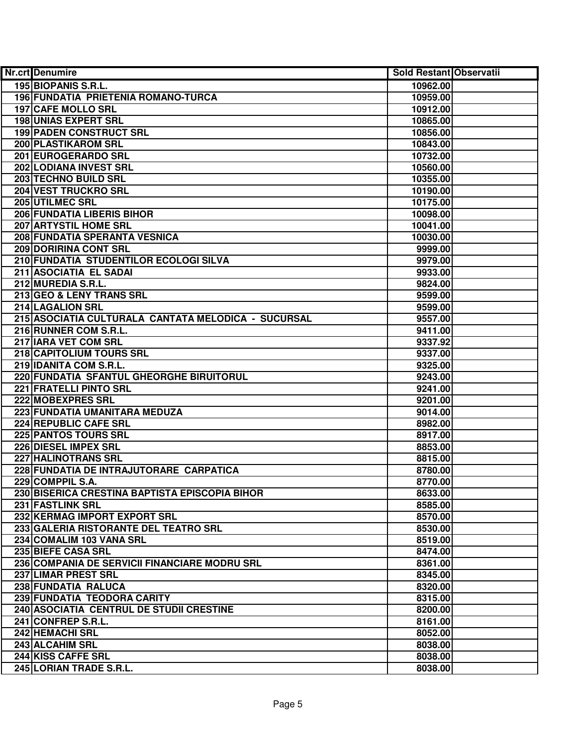| <b>Nr.crt</b> Denumire                              | Sold Restant Observatii |  |
|-----------------------------------------------------|-------------------------|--|
| 195 BIOPANIS S.R.L.                                 | 10962.00                |  |
| 196 FUNDATIA PRIETENIA ROMANO-TURCA                 | 10959.00                |  |
| <b>197 CAFE MOLLO SRL</b>                           | 10912.00                |  |
| <b>198 UNIAS EXPERT SRL</b>                         | 10865.00                |  |
| <b>199 PADEN CONSTRUCT SRL</b>                      | 10856.00                |  |
| 200 PLASTIKAROM SRL                                 | 10843.00                |  |
| 201 EUROGERARDO SRL                                 | 10732.00                |  |
| 202 LODIANA INVEST SRL                              | 10560.00                |  |
| 203 TECHNO BUILD SRL                                | 10355.00                |  |
| <b>204 VEST TRUCKRO SRL</b>                         | 10190.00                |  |
| 205 UTILMEC SRL                                     | 10175.00                |  |
| <b>206 FUNDATIA LIBERIS BIHOR</b>                   | 10098.00                |  |
| <b>207 ARTYSTIL HOME SRL</b>                        | 10041.00                |  |
| 208 FUNDATIA SPERANTA VESNICA                       | 10030.00                |  |
| 209 DORIRINA CONT SRL                               | 9999.00                 |  |
| 210 FUNDATIA STUDENTILOR ECOLOGI SILVA              | 9979.00                 |  |
| 211 ASOCIATIA EL SADAI                              | 9933.00                 |  |
| 212 MUREDIA S.R.L.                                  | 9824.00                 |  |
| 213 GEO & LENY TRANS SRL                            | 9599.00                 |  |
| 214 LAGALION SRL                                    | 9599.00                 |  |
| 215 ASOCIATIA CULTURALA CANTATA MELODICA - SUCURSAL | 9557.00                 |  |
| 216 RUNNER COM S.R.L.                               | 9411.00                 |  |
| 217 IARA VET COM SRL                                | 9337.92                 |  |
| 218 CAPITOLIUM TOURS SRL                            | 9337.00                 |  |
| 219 IDANITA COM S.R.L.                              | 9325.00                 |  |
| 220 FUNDATIA SFANTUL GHEORGHE BIRUITORUL            | 9243.00                 |  |
| 221 FRATELLI PINTO SRL                              | 9241.00                 |  |
| 222 MOBEXPRES SRL                                   | 9201.00                 |  |
| 223 FUNDATIA UMANITARA MEDUZA                       | 9014.00                 |  |
| 224 REPUBLIC CAFE SRL                               | 8982.00                 |  |
| <b>225 PANTOS TOURS SRL</b>                         | 8917.00                 |  |
| 226 DIESEL IMPEX SRL                                | 8853.00                 |  |
| 227 HALINOTRANS SRL                                 | 8815.00                 |  |
| 228 FUNDATIA DE INTRAJUTORARE CARPATICA             | 8780.00                 |  |
| 229 COMPPIL S.A.                                    | 8770.00                 |  |
| 230 BISERICA CRESTINA BAPTISTA EPISCOPIA BIHOR      | 8633.00                 |  |
| 231 FASTLINK SRL                                    | 8585.00                 |  |
| 232 KERMAG IMPORT EXPORT SRL                        | 8570.00                 |  |
| 233 GALERIA RISTORANTE DEL TEATRO SRL               | 8530.00                 |  |
| 234 COMALIM 103 VANA SRL                            | 8519.00                 |  |
| 235 BIEFE CASA SRL                                  | 8474.00                 |  |
| 236 COMPANIA DE SERVICII FINANCIARE MODRU SRL       | 8361.00                 |  |
| 237 LIMAR PREST SRL                                 | 8345.00                 |  |
| 238 FUNDATIA RALUCA                                 | 8320.00                 |  |
| 239 FUNDATIA TEODORA CARITY                         | 8315.00                 |  |
| 240 ASOCIATIA CENTRUL DE STUDII CRESTINE            | 8200.00                 |  |
| 241 CONFREP S.R.L.                                  | 8161.00                 |  |
| 242 HEMACHI SRL                                     | 8052.00                 |  |
| 243 ALCAHIM SRL                                     | 8038.00                 |  |
| 244 KISS CAFFE SRL                                  | 8038.00                 |  |
| 245 LORIAN TRADE S.R.L.                             | 8038.00                 |  |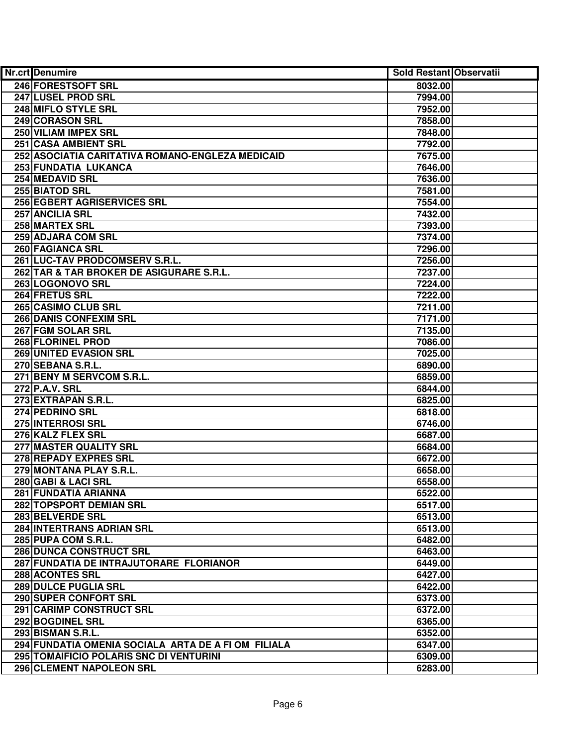| 246 FORESTSOFT SRL<br>8032.00<br>247 LUSEL PROD SRL<br>7994.00<br>248 MIFLO STYLE SRL<br>7952.00<br>249 CORASON SRL<br>7858.00<br>250 VILIAM IMPEX SRL<br>7848.00<br>251 CASA AMBIENT SRL<br>7792.00<br>252 ASOCIATIA CARITATIVA ROMANO-ENGLEZA MEDICAID<br>7675.00<br>253 FUNDATIA LUKANCA<br>7646.00<br>254 MEDAVID SRL<br>7636.00<br>255 BIATOD SRL<br>7581.00<br><b>256 EGBERT AGRISERVICES SRL</b><br>7554.00<br>7432.00<br>257 ANCILIA SRL<br>258 MARTEX SRL<br>7393.00<br>259 ADJARA COM SRL<br>7374.00<br>260 FAGIANCA SRL<br>7296.00<br>261 LUC-TAV PRODCOMSERV S.R.L.<br>7256.00<br>262 TAR & TAR BROKER DE ASIGURARE S.R.L.<br>7237.00<br>263 LOGONOVO SRL<br>7224.00<br>264 FRETUS SRL<br>7222.00<br>265 CASIMO CLUB SRL<br>7211.00<br><b>266 DANIS CONFEXIM SRL</b><br>7171.00<br>267 FGM SOLAR SRL<br>7135.00<br>268 FLORINEL PROD<br>7086.00<br>269 UNITED EVASION SRL<br>7025.00<br>270 SEBANA S.R.L.<br>6890.00<br>271 BENY M SERVCOM S.R.L.<br>6859.00<br>272 P.A.V. SRL<br>6844.00<br>273 EXTRAPAN S.R.L.<br>6825.00<br>274 PEDRINO SRL<br>6818.00<br>275 INTERROSI SRL<br>6746.00<br>276 KALZ FLEX SRL<br>6687.00<br><b>277 MASTER QUALITY SRL</b><br>6684.00<br>278 REPADY EXPRES SRL<br>6672.00<br>279 MONTANA PLAY S.R.L.<br>6658.00<br>280 GABI & LACI SRL<br>6558.00<br>281 FUNDATIA ARIANNA<br>6522.00<br><b>282 TOPSPORT DEMIAN SRL</b><br>6517.00<br><b>283 BELVERDE SRL</b><br>6513.00<br><b>284 INTERTRANS ADRIAN SRL</b><br>6513.00<br>285 PUPA COM S.R.L.<br>6482.00<br><b>286 DUNCA CONSTRUCT SRL</b><br>6463.00<br>287 FUNDATIA DE INTRAJUTORARE FLORIANOR<br>6449.00<br>288 ACONTES SRL<br>6427.00<br>289 DULCE PUGLIA SRL<br>6422.00<br>290 SUPER CONFORT SRL<br>6373.00<br>291 CARIMP CONSTRUCT SRL<br>6372.00<br>292 BOGDINEL SRL<br>6365.00<br>293 BISMAN S.R.L.<br>6352.00<br>294 FUNDATIA OMENIA SOCIALA ARTA DE A FI OM FILIALA<br>6347.00<br>295 TOMAIFICIO POLARIS SNC DI VENTURINI<br>6309.00<br>296 CLEMENT NAPOLEON SRL<br>6283.00 | Nr.crt Denumire | Sold Restant Observatii |  |
|-----------------------------------------------------------------------------------------------------------------------------------------------------------------------------------------------------------------------------------------------------------------------------------------------------------------------------------------------------------------------------------------------------------------------------------------------------------------------------------------------------------------------------------------------------------------------------------------------------------------------------------------------------------------------------------------------------------------------------------------------------------------------------------------------------------------------------------------------------------------------------------------------------------------------------------------------------------------------------------------------------------------------------------------------------------------------------------------------------------------------------------------------------------------------------------------------------------------------------------------------------------------------------------------------------------------------------------------------------------------------------------------------------------------------------------------------------------------------------------------------------------------------------------------------------------------------------------------------------------------------------------------------------------------------------------------------------------------------------------------------------------------------------------------------------------------------------------------------------------------------------------------------------------------------------------------------------------------------------------|-----------------|-------------------------|--|
|                                                                                                                                                                                                                                                                                                                                                                                                                                                                                                                                                                                                                                                                                                                                                                                                                                                                                                                                                                                                                                                                                                                                                                                                                                                                                                                                                                                                                                                                                                                                                                                                                                                                                                                                                                                                                                                                                                                                                                                   |                 |                         |  |
|                                                                                                                                                                                                                                                                                                                                                                                                                                                                                                                                                                                                                                                                                                                                                                                                                                                                                                                                                                                                                                                                                                                                                                                                                                                                                                                                                                                                                                                                                                                                                                                                                                                                                                                                                                                                                                                                                                                                                                                   |                 |                         |  |
|                                                                                                                                                                                                                                                                                                                                                                                                                                                                                                                                                                                                                                                                                                                                                                                                                                                                                                                                                                                                                                                                                                                                                                                                                                                                                                                                                                                                                                                                                                                                                                                                                                                                                                                                                                                                                                                                                                                                                                                   |                 |                         |  |
|                                                                                                                                                                                                                                                                                                                                                                                                                                                                                                                                                                                                                                                                                                                                                                                                                                                                                                                                                                                                                                                                                                                                                                                                                                                                                                                                                                                                                                                                                                                                                                                                                                                                                                                                                                                                                                                                                                                                                                                   |                 |                         |  |
|                                                                                                                                                                                                                                                                                                                                                                                                                                                                                                                                                                                                                                                                                                                                                                                                                                                                                                                                                                                                                                                                                                                                                                                                                                                                                                                                                                                                                                                                                                                                                                                                                                                                                                                                                                                                                                                                                                                                                                                   |                 |                         |  |
|                                                                                                                                                                                                                                                                                                                                                                                                                                                                                                                                                                                                                                                                                                                                                                                                                                                                                                                                                                                                                                                                                                                                                                                                                                                                                                                                                                                                                                                                                                                                                                                                                                                                                                                                                                                                                                                                                                                                                                                   |                 |                         |  |
|                                                                                                                                                                                                                                                                                                                                                                                                                                                                                                                                                                                                                                                                                                                                                                                                                                                                                                                                                                                                                                                                                                                                                                                                                                                                                                                                                                                                                                                                                                                                                                                                                                                                                                                                                                                                                                                                                                                                                                                   |                 |                         |  |
|                                                                                                                                                                                                                                                                                                                                                                                                                                                                                                                                                                                                                                                                                                                                                                                                                                                                                                                                                                                                                                                                                                                                                                                                                                                                                                                                                                                                                                                                                                                                                                                                                                                                                                                                                                                                                                                                                                                                                                                   |                 |                         |  |
|                                                                                                                                                                                                                                                                                                                                                                                                                                                                                                                                                                                                                                                                                                                                                                                                                                                                                                                                                                                                                                                                                                                                                                                                                                                                                                                                                                                                                                                                                                                                                                                                                                                                                                                                                                                                                                                                                                                                                                                   |                 |                         |  |
|                                                                                                                                                                                                                                                                                                                                                                                                                                                                                                                                                                                                                                                                                                                                                                                                                                                                                                                                                                                                                                                                                                                                                                                                                                                                                                                                                                                                                                                                                                                                                                                                                                                                                                                                                                                                                                                                                                                                                                                   |                 |                         |  |
|                                                                                                                                                                                                                                                                                                                                                                                                                                                                                                                                                                                                                                                                                                                                                                                                                                                                                                                                                                                                                                                                                                                                                                                                                                                                                                                                                                                                                                                                                                                                                                                                                                                                                                                                                                                                                                                                                                                                                                                   |                 |                         |  |
|                                                                                                                                                                                                                                                                                                                                                                                                                                                                                                                                                                                                                                                                                                                                                                                                                                                                                                                                                                                                                                                                                                                                                                                                                                                                                                                                                                                                                                                                                                                                                                                                                                                                                                                                                                                                                                                                                                                                                                                   |                 |                         |  |
|                                                                                                                                                                                                                                                                                                                                                                                                                                                                                                                                                                                                                                                                                                                                                                                                                                                                                                                                                                                                                                                                                                                                                                                                                                                                                                                                                                                                                                                                                                                                                                                                                                                                                                                                                                                                                                                                                                                                                                                   |                 |                         |  |
|                                                                                                                                                                                                                                                                                                                                                                                                                                                                                                                                                                                                                                                                                                                                                                                                                                                                                                                                                                                                                                                                                                                                                                                                                                                                                                                                                                                                                                                                                                                                                                                                                                                                                                                                                                                                                                                                                                                                                                                   |                 |                         |  |
|                                                                                                                                                                                                                                                                                                                                                                                                                                                                                                                                                                                                                                                                                                                                                                                                                                                                                                                                                                                                                                                                                                                                                                                                                                                                                                                                                                                                                                                                                                                                                                                                                                                                                                                                                                                                                                                                                                                                                                                   |                 |                         |  |
|                                                                                                                                                                                                                                                                                                                                                                                                                                                                                                                                                                                                                                                                                                                                                                                                                                                                                                                                                                                                                                                                                                                                                                                                                                                                                                                                                                                                                                                                                                                                                                                                                                                                                                                                                                                                                                                                                                                                                                                   |                 |                         |  |
|                                                                                                                                                                                                                                                                                                                                                                                                                                                                                                                                                                                                                                                                                                                                                                                                                                                                                                                                                                                                                                                                                                                                                                                                                                                                                                                                                                                                                                                                                                                                                                                                                                                                                                                                                                                                                                                                                                                                                                                   |                 |                         |  |
|                                                                                                                                                                                                                                                                                                                                                                                                                                                                                                                                                                                                                                                                                                                                                                                                                                                                                                                                                                                                                                                                                                                                                                                                                                                                                                                                                                                                                                                                                                                                                                                                                                                                                                                                                                                                                                                                                                                                                                                   |                 |                         |  |
|                                                                                                                                                                                                                                                                                                                                                                                                                                                                                                                                                                                                                                                                                                                                                                                                                                                                                                                                                                                                                                                                                                                                                                                                                                                                                                                                                                                                                                                                                                                                                                                                                                                                                                                                                                                                                                                                                                                                                                                   |                 |                         |  |
|                                                                                                                                                                                                                                                                                                                                                                                                                                                                                                                                                                                                                                                                                                                                                                                                                                                                                                                                                                                                                                                                                                                                                                                                                                                                                                                                                                                                                                                                                                                                                                                                                                                                                                                                                                                                                                                                                                                                                                                   |                 |                         |  |
|                                                                                                                                                                                                                                                                                                                                                                                                                                                                                                                                                                                                                                                                                                                                                                                                                                                                                                                                                                                                                                                                                                                                                                                                                                                                                                                                                                                                                                                                                                                                                                                                                                                                                                                                                                                                                                                                                                                                                                                   |                 |                         |  |
|                                                                                                                                                                                                                                                                                                                                                                                                                                                                                                                                                                                                                                                                                                                                                                                                                                                                                                                                                                                                                                                                                                                                                                                                                                                                                                                                                                                                                                                                                                                                                                                                                                                                                                                                                                                                                                                                                                                                                                                   |                 |                         |  |
|                                                                                                                                                                                                                                                                                                                                                                                                                                                                                                                                                                                                                                                                                                                                                                                                                                                                                                                                                                                                                                                                                                                                                                                                                                                                                                                                                                                                                                                                                                                                                                                                                                                                                                                                                                                                                                                                                                                                                                                   |                 |                         |  |
|                                                                                                                                                                                                                                                                                                                                                                                                                                                                                                                                                                                                                                                                                                                                                                                                                                                                                                                                                                                                                                                                                                                                                                                                                                                                                                                                                                                                                                                                                                                                                                                                                                                                                                                                                                                                                                                                                                                                                                                   |                 |                         |  |
|                                                                                                                                                                                                                                                                                                                                                                                                                                                                                                                                                                                                                                                                                                                                                                                                                                                                                                                                                                                                                                                                                                                                                                                                                                                                                                                                                                                                                                                                                                                                                                                                                                                                                                                                                                                                                                                                                                                                                                                   |                 |                         |  |
|                                                                                                                                                                                                                                                                                                                                                                                                                                                                                                                                                                                                                                                                                                                                                                                                                                                                                                                                                                                                                                                                                                                                                                                                                                                                                                                                                                                                                                                                                                                                                                                                                                                                                                                                                                                                                                                                                                                                                                                   |                 |                         |  |
|                                                                                                                                                                                                                                                                                                                                                                                                                                                                                                                                                                                                                                                                                                                                                                                                                                                                                                                                                                                                                                                                                                                                                                                                                                                                                                                                                                                                                                                                                                                                                                                                                                                                                                                                                                                                                                                                                                                                                                                   |                 |                         |  |
|                                                                                                                                                                                                                                                                                                                                                                                                                                                                                                                                                                                                                                                                                                                                                                                                                                                                                                                                                                                                                                                                                                                                                                                                                                                                                                                                                                                                                                                                                                                                                                                                                                                                                                                                                                                                                                                                                                                                                                                   |                 |                         |  |
|                                                                                                                                                                                                                                                                                                                                                                                                                                                                                                                                                                                                                                                                                                                                                                                                                                                                                                                                                                                                                                                                                                                                                                                                                                                                                                                                                                                                                                                                                                                                                                                                                                                                                                                                                                                                                                                                                                                                                                                   |                 |                         |  |
|                                                                                                                                                                                                                                                                                                                                                                                                                                                                                                                                                                                                                                                                                                                                                                                                                                                                                                                                                                                                                                                                                                                                                                                                                                                                                                                                                                                                                                                                                                                                                                                                                                                                                                                                                                                                                                                                                                                                                                                   |                 |                         |  |
|                                                                                                                                                                                                                                                                                                                                                                                                                                                                                                                                                                                                                                                                                                                                                                                                                                                                                                                                                                                                                                                                                                                                                                                                                                                                                                                                                                                                                                                                                                                                                                                                                                                                                                                                                                                                                                                                                                                                                                                   |                 |                         |  |
|                                                                                                                                                                                                                                                                                                                                                                                                                                                                                                                                                                                                                                                                                                                                                                                                                                                                                                                                                                                                                                                                                                                                                                                                                                                                                                                                                                                                                                                                                                                                                                                                                                                                                                                                                                                                                                                                                                                                                                                   |                 |                         |  |
|                                                                                                                                                                                                                                                                                                                                                                                                                                                                                                                                                                                                                                                                                                                                                                                                                                                                                                                                                                                                                                                                                                                                                                                                                                                                                                                                                                                                                                                                                                                                                                                                                                                                                                                                                                                                                                                                                                                                                                                   |                 |                         |  |
|                                                                                                                                                                                                                                                                                                                                                                                                                                                                                                                                                                                                                                                                                                                                                                                                                                                                                                                                                                                                                                                                                                                                                                                                                                                                                                                                                                                                                                                                                                                                                                                                                                                                                                                                                                                                                                                                                                                                                                                   |                 |                         |  |
|                                                                                                                                                                                                                                                                                                                                                                                                                                                                                                                                                                                                                                                                                                                                                                                                                                                                                                                                                                                                                                                                                                                                                                                                                                                                                                                                                                                                                                                                                                                                                                                                                                                                                                                                                                                                                                                                                                                                                                                   |                 |                         |  |
|                                                                                                                                                                                                                                                                                                                                                                                                                                                                                                                                                                                                                                                                                                                                                                                                                                                                                                                                                                                                                                                                                                                                                                                                                                                                                                                                                                                                                                                                                                                                                                                                                                                                                                                                                                                                                                                                                                                                                                                   |                 |                         |  |
|                                                                                                                                                                                                                                                                                                                                                                                                                                                                                                                                                                                                                                                                                                                                                                                                                                                                                                                                                                                                                                                                                                                                                                                                                                                                                                                                                                                                                                                                                                                                                                                                                                                                                                                                                                                                                                                                                                                                                                                   |                 |                         |  |
|                                                                                                                                                                                                                                                                                                                                                                                                                                                                                                                                                                                                                                                                                                                                                                                                                                                                                                                                                                                                                                                                                                                                                                                                                                                                                                                                                                                                                                                                                                                                                                                                                                                                                                                                                                                                                                                                                                                                                                                   |                 |                         |  |
|                                                                                                                                                                                                                                                                                                                                                                                                                                                                                                                                                                                                                                                                                                                                                                                                                                                                                                                                                                                                                                                                                                                                                                                                                                                                                                                                                                                                                                                                                                                                                                                                                                                                                                                                                                                                                                                                                                                                                                                   |                 |                         |  |
|                                                                                                                                                                                                                                                                                                                                                                                                                                                                                                                                                                                                                                                                                                                                                                                                                                                                                                                                                                                                                                                                                                                                                                                                                                                                                                                                                                                                                                                                                                                                                                                                                                                                                                                                                                                                                                                                                                                                                                                   |                 |                         |  |
|                                                                                                                                                                                                                                                                                                                                                                                                                                                                                                                                                                                                                                                                                                                                                                                                                                                                                                                                                                                                                                                                                                                                                                                                                                                                                                                                                                                                                                                                                                                                                                                                                                                                                                                                                                                                                                                                                                                                                                                   |                 |                         |  |
|                                                                                                                                                                                                                                                                                                                                                                                                                                                                                                                                                                                                                                                                                                                                                                                                                                                                                                                                                                                                                                                                                                                                                                                                                                                                                                                                                                                                                                                                                                                                                                                                                                                                                                                                                                                                                                                                                                                                                                                   |                 |                         |  |
|                                                                                                                                                                                                                                                                                                                                                                                                                                                                                                                                                                                                                                                                                                                                                                                                                                                                                                                                                                                                                                                                                                                                                                                                                                                                                                                                                                                                                                                                                                                                                                                                                                                                                                                                                                                                                                                                                                                                                                                   |                 |                         |  |
|                                                                                                                                                                                                                                                                                                                                                                                                                                                                                                                                                                                                                                                                                                                                                                                                                                                                                                                                                                                                                                                                                                                                                                                                                                                                                                                                                                                                                                                                                                                                                                                                                                                                                                                                                                                                                                                                                                                                                                                   |                 |                         |  |
|                                                                                                                                                                                                                                                                                                                                                                                                                                                                                                                                                                                                                                                                                                                                                                                                                                                                                                                                                                                                                                                                                                                                                                                                                                                                                                                                                                                                                                                                                                                                                                                                                                                                                                                                                                                                                                                                                                                                                                                   |                 |                         |  |
|                                                                                                                                                                                                                                                                                                                                                                                                                                                                                                                                                                                                                                                                                                                                                                                                                                                                                                                                                                                                                                                                                                                                                                                                                                                                                                                                                                                                                                                                                                                                                                                                                                                                                                                                                                                                                                                                                                                                                                                   |                 |                         |  |
|                                                                                                                                                                                                                                                                                                                                                                                                                                                                                                                                                                                                                                                                                                                                                                                                                                                                                                                                                                                                                                                                                                                                                                                                                                                                                                                                                                                                                                                                                                                                                                                                                                                                                                                                                                                                                                                                                                                                                                                   |                 |                         |  |
|                                                                                                                                                                                                                                                                                                                                                                                                                                                                                                                                                                                                                                                                                                                                                                                                                                                                                                                                                                                                                                                                                                                                                                                                                                                                                                                                                                                                                                                                                                                                                                                                                                                                                                                                                                                                                                                                                                                                                                                   |                 |                         |  |
|                                                                                                                                                                                                                                                                                                                                                                                                                                                                                                                                                                                                                                                                                                                                                                                                                                                                                                                                                                                                                                                                                                                                                                                                                                                                                                                                                                                                                                                                                                                                                                                                                                                                                                                                                                                                                                                                                                                                                                                   |                 |                         |  |
|                                                                                                                                                                                                                                                                                                                                                                                                                                                                                                                                                                                                                                                                                                                                                                                                                                                                                                                                                                                                                                                                                                                                                                                                                                                                                                                                                                                                                                                                                                                                                                                                                                                                                                                                                                                                                                                                                                                                                                                   |                 |                         |  |
|                                                                                                                                                                                                                                                                                                                                                                                                                                                                                                                                                                                                                                                                                                                                                                                                                                                                                                                                                                                                                                                                                                                                                                                                                                                                                                                                                                                                                                                                                                                                                                                                                                                                                                                                                                                                                                                                                                                                                                                   |                 |                         |  |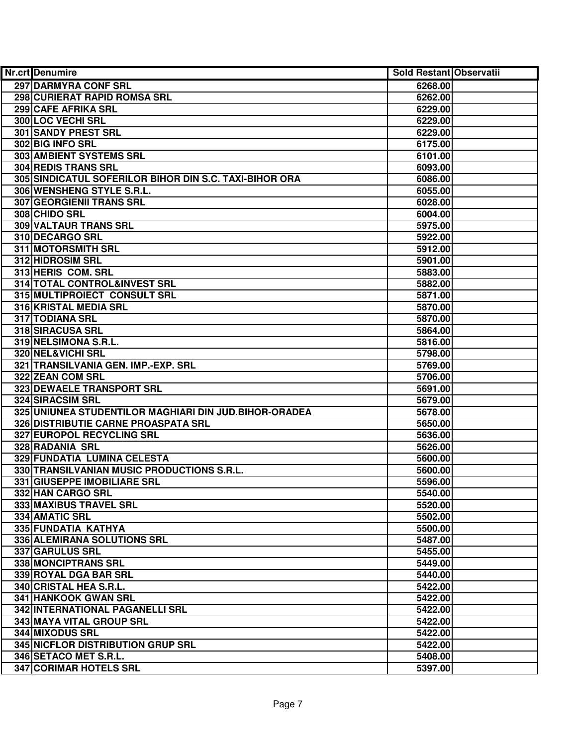| Nr.crt Denumire                                        | Sold Restant Observatii |  |
|--------------------------------------------------------|-------------------------|--|
| 297 DARMYRA CONF SRL                                   | 6268.00                 |  |
| 298 CURIERAT RAPID ROMSA SRL                           | 6262.00                 |  |
| 299 CAFE AFRIKA SRL                                    | 6229.00                 |  |
| <b>300 LOC VECHI SRL</b>                               | 6229.00                 |  |
| 301 SANDY PREST SRL                                    | 6229.00                 |  |
| 302 BIG INFO SRL                                       | 6175.00                 |  |
| 303 AMBIENT SYSTEMS SRL                                | 6101.00                 |  |
| 304 REDIS TRANS SRL                                    | 6093.00                 |  |
| 305 SINDICATUL SOFERILOR BIHOR DIN S.C. TAXI-BIHOR ORA | 6086.00                 |  |
| 306 WENSHENG STYLE S.R.L.                              | 6055.00                 |  |
| <b>307 GEORGIENII TRANS SRL</b>                        | 6028.00                 |  |
| 308 CHIDO SRL                                          | 6004.00                 |  |
| <b>309 VALTAUR TRANS SRL</b>                           | 5975.00                 |  |
| 310 DECARGO SRL                                        | 5922.00                 |  |
| 311 MOTORSMITH SRL                                     | 5912.00                 |  |
| 312 HIDROSIM SRL                                       | 5901.00                 |  |
| 313 HERIS COM. SRL                                     | 5883.00                 |  |
| 314 TOTAL CONTROL&INVEST SRL                           | 5882.00                 |  |
| 315 MULTIPROIECT CONSULT SRL                           | 5871.00                 |  |
| 316 KRISTAL MEDIA SRL                                  | 5870.00                 |  |
| 317 TODIANA SRL                                        | 5870.00                 |  |
| 318 SIRACUSA SRL                                       | 5864.00                 |  |
| 319 NELSIMONA S.R.L.                                   | 5816.00                 |  |
| 320 NEL&VICHI SRL                                      | 5798.00                 |  |
| 321 TRANSILVANIA GEN. IMP.-EXP. SRL                    | 5769.00                 |  |
| 322 ZEAN COM SRL                                       | 5706.00                 |  |
| 323 DEWAELE TRANSPORT SRL                              | 5691.00                 |  |
| 324 SIRACSIM SRL                                       | 5679.00                 |  |
| 325 UNIUNEA STUDENTILOR MAGHIARI DIN JUD.BIHOR-ORADEA  | 5678.00                 |  |
| 326 DISTRIBUTIE CARNE PROASPATA SRL                    | 5650.00                 |  |
| 327 EUROPOL RECYCLING SRL                              | 5636.00                 |  |
| 328 RADANIA SRL                                        | 5626.00                 |  |
| 329 FUNDATIA LUMINA CELESTA                            | 5600.00                 |  |
| 330 TRANSILVANIAN MUSIC PRODUCTIONS S.R.L.             | 5600.00                 |  |
| 331 GIUSEPPE IMOBILIARE SRL                            | 5596.00                 |  |
| 332 HAN CARGO SRL                                      | 5540.00                 |  |
| 333 MAXIBUS TRAVEL SRL                                 | 5520.00                 |  |
| 334 AMATIC SRL                                         | 5502.00                 |  |
| 335 FUNDATIA KATHYA                                    | 5500.00                 |  |
| 336 ALEMIRANA SOLUTIONS SRL                            | 5487.00                 |  |
| 337 GARULUS SRL                                        | 5455.00                 |  |
| 338 MONCIPTRANS SRL                                    | 5449.00                 |  |
| 339 ROYAL DGA BAR SRL                                  | 5440.00                 |  |
| 340 CRISTAL HEA S.R.L.                                 | 5422.00                 |  |
| 341 HANKOOK GWAN SRL                                   | 5422.00                 |  |
| 342 INTERNATIONAL PAGANELLI SRL                        | 5422.00                 |  |
| 343 MAYA VITAL GROUP SRL                               | 5422.00                 |  |
| 344 MIXODUS SRL                                        | 5422.00                 |  |
| 345 NICFLOR DISTRIBUTION GRUP SRL                      | 5422.00                 |  |
| 346 SETACO MET S.R.L.                                  | 5408.00                 |  |
| 347 CORIMAR HOTELS SRL                                 | 5397.00                 |  |